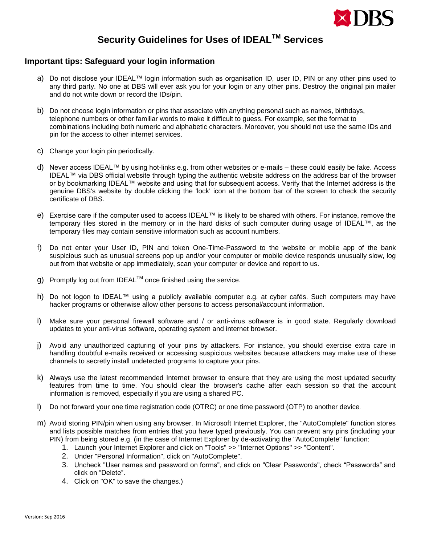

# **Security Guidelines for Uses of IDEALTM Services**

### **Important tips: Safeguard your login information**

- a) Do not disclose your IDEAL™ login information such as organisation ID, user ID, PIN or any other pins used to any third party. No one at DBS will ever ask you for your login or any other pins. Destroy the original pin mailer and do not write down or record the IDs/pin.
- b) Do not choose login information or pins that associate with anything personal such as names, birthdays, telephone numbers or other familiar words to make it difficult to guess. For example, set the format to combinations including both numeric and alphabetic characters. Moreover, you should not use the same IDs and pin for the access to other internet services.
- c) Change your login pin periodically.
- d) Never access IDEAL™ by using hot-links e.g. from other websites or e-mails these could easily be fake. Access IDEAL™ via DBS official website through typing the authentic website address on the address bar of the browser or by bookmarking IDEAL™ website and using that for subsequent access. Verify that the Internet address is the genuine DBS's website by double clicking the 'lock' icon at the bottom bar of the screen to check the security certificate of DBS.
- e) Exercise care if the computer used to access IDEAL™ is likely to be shared with others. For instance, remove the temporary files stored in the memory or in the hard disks of such computer during usage of IDEAL™, as the temporary files may contain sensitive information such as account numbers.
- f) Do not enter your User ID, PIN and token One-Time-Password to the website or mobile app of the bank suspicious such as unusual screens pop up and/or your computer or mobile device responds unusually slow, log out from that website or app immediately, scan your computer or device and report to us.
- g) Promptly log out from IDEAL $^{TM}$  once finished using the service.
- h) Do not logon to IDEAL™ using a publicly available computer e.g. at cyber cafés. Such computers may have hacker programs or otherwise allow other persons to access personal/account information.
- i) Make sure your personal firewall software and / or anti-virus software is in good state. Regularly download updates to your anti-virus software, operating system and internet browser.
- j) Avoid any unauthorized capturing of your pins by attackers. For instance, you should exercise extra care in handling doubtful e-mails received or accessing suspicious websites because attackers may make use of these channels to secretly install undetected programs to capture your pins.
- k) Always use the latest recommended Internet browser to ensure that they are using the most updated security features from time to time. You should clear the browser's cache after each session so that the account information is removed, especially if you are using a shared PC.
- l) Do not forward your one time registration code (OTRC) or one time password (OTP) to another device.
- m) Avoid storing PIN/pin when using any browser. In Microsoft Internet Explorer, the "AutoComplete" function stores and lists possible matches from entries that you have typed previously. You can prevent any pins (including your PIN) from being stored e.g. (in the case of Internet Explorer by de-activating the "AutoComplete" function:
	- 1. Launch your Internet Explorer and click on "Tools" >> "Internet Options" >> "Content".
	- 2. Under "Personal Information", click on "AutoComplete".
	- 3. Uncheck "User names and password on forms", and click on "Clear Passwords", check "Passwords" and click on "Delete".
	- 4. Click on "OK" to save the changes.)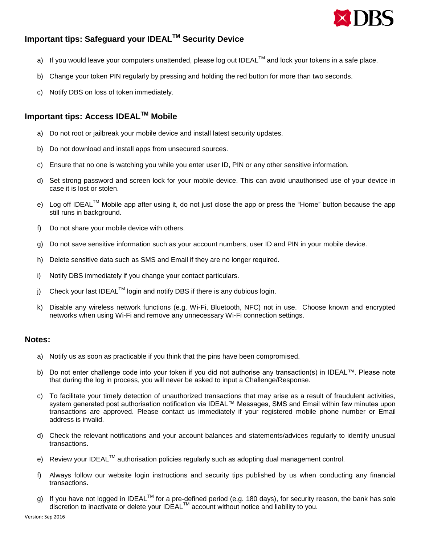

## **Important tips: Safeguard your IDEALTM Security Device**

- a) If you would leave your computers unattended, please log out IDEAL<sup>TM</sup> and lock your tokens in a safe place.
- b) Change your token PIN regularly by pressing and holding the red button for more than two seconds.
- c) Notify DBS on loss of token immediately.

### **Important tips: Access IDEALTM Mobile**

- a) Do not root or jailbreak your mobile device and install latest security updates.
- b) Do not download and install apps from unsecured sources.
- c) Ensure that no one is watching you while you enter user ID, PIN or any other sensitive information.
- d) Set strong password and screen lock for your mobile device. This can avoid unauthorised use of your device in case it is lost or stolen.
- e) Log off IDEAL<sup>™</sup> Mobile app after using it, do not just close the app or press the "Home" button because the app still runs in background.
- f) Do not share your mobile device with others.
- g) Do not save sensitive information such as your account numbers, user ID and PIN in your mobile device.
- h) Delete sensitive data such as SMS and Email if they are no longer required.
- i) Notify DBS immediately if you change your contact particulars.
- j) Check your last IDEAL<sup>TM</sup> login and notify DBS if there is any dubious login.
- k) Disable any wireless network functions (e.g. Wi-Fi, Bluetooth, NFC) not in use. Choose known and encrypted networks when using Wi-Fi and remove any unnecessary Wi-Fi connection settings.

#### **Notes:**

- a) Notify us as soon as practicable if you think that the pins have been compromised.
- b) Do not enter challenge code into your token if you did not authorise any transaction(s) in IDEAL™. Please note that during the log in process, you will never be asked to input a Challenge/Response.
- c) To facilitate your timely detection of unauthorized transactions that may arise as a result of fraudulent activities, system generated post authorisation notification via IDEAL™ Messages, SMS and Email within few minutes upon transactions are approved. Please contact us immediately if your registered mobile phone number or Email address is invalid.
- d) Check the relevant notifications and your account balances and statements/advices regularly to identify unusual transactions.
- e) Review your IDEAL™ authorisation policies regularly such as adopting dual management control.
- f) Always follow our website login instructions and security tips published by us when conducting any financial transactions.
- g) If you have not logged in IDEAL<sup>TM</sup> for a pre-defined period (e.g. 180 days), for security reason, the bank has sole discretion to inactivate or delete your IDEAL™ account without notice and liability to you.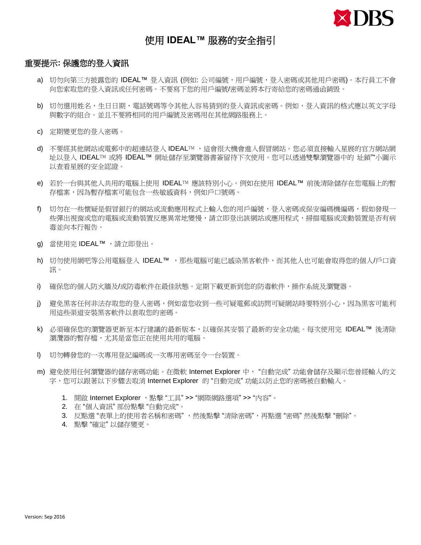

## 使用 **IDEAL™** 服務的安全指引

### 重要提示**:** 保護您的登入資訊

- a) 切勿向第三方披露您的 IDEAL™ 登入資訊 (例如: 公司編號,用戶編號,登入密碼或其他用戶密碼)。本行員工不會 向您索取您的登入資訊或任何密碼。不要寫下您的用戶編號/密碼並將本行寄給您的密碼通函銷毁。
- b) 切勿選用姓名,生日日期,電話號碼等令其他人容易猜到的登入資訊或密碼。例如,登入資訊的格式應以英文字母 與數字的組合。並且不要將相同的用戶編號及密碼用在其他網路服務上。
- c) 定期變更您的登入密碼。
- d) 不要經其他網站或電郵中的超連結登入 IDEAL™ ,這會很大機會進入假冒網站。您必須直接輸入星展的官方網站網 址以登入 IDEAL™ 或將 IDEAL™ 網址儲存至瀏覽器書簽留待下次使用。您可以透過雙擊瀏覽器中的 址鎖""小圖示 以查看星展的安全認證。
- e) 若於一台與其他人共用的電腦上使用 IDEAL™ 應該特別小心。例如在使用 IDEAL™ 前後清除儲存在您電腦上的暫 存檔案,因為暫存檔案可能包含一些敏感資料,例如戶口號碼。
- f) 切勿在一些懷疑是假冒銀行的網站或流動應用程式上輸入您的用戶編號,登入密碼或保安編碼機編碼,假如發現一 些彈出視窗或您的電腦或流動裝置反應異常地變慢,請立即登出該網站或應用程式,掃描電腦或流動裝置是否有病 毒並向本行報告。
- g) 當使用完 IDEAL™,請立即登出。
- h) 切勿使用網吧等公用電腦登入 IDEAL™ ,那些電腦可能已感染黑客軟件,而其他人也可能會取得您的個人/戶口資 訊。
- i) 確保您的個人防火牆及/或防毒軟件在最佳狀態。定期下載更新到您的防毒軟件,操作系統及瀏覽器。
- j) 避免黑客任何非法存取您的登入密碼,例如當您收到一些可疑電郵或訪問可疑網站時要特別小心,因為黑客可能利 用這些渠道安裝黑客軟件以套取您的密碼。
- k) 必須確保您的瀏覽器更新至本行建議的最新版本,以確保其安裝了最新的安全功能。每次使用完 IDEAL™ 後清除 瀏灠器的暫存檔,尤其是當您正在使用共用的電腦。
- l) 切勿轉發您的一次專用登記編碼或一次專用密碼至令一台裝置。
- m) 避免使用任何瀏覽器的儲存密碼功能。在微軟 Internet Explorer 中, "自動完成"功能會儲存及顯示您曾經輸入的文 字,您可以跟著以下步驟去取消 Internet Explorer 的 "自動完成" 功能以防止您的密碼被自動輸入。
	- 1. 開啟 Internet Explorer ,點擊 "工具" >> "網際網路選項" >> "內容"。
	- 2. 在 "個人資訊" 部份點擊 "自動完成"。
	- 3. 反點選"表單上的使用者名稱和密碼",然後點擊"清除密碼",再點選"密碼"然後點擊"刪除"。
	- 4. 點擊 "確定" 以儲存變更。